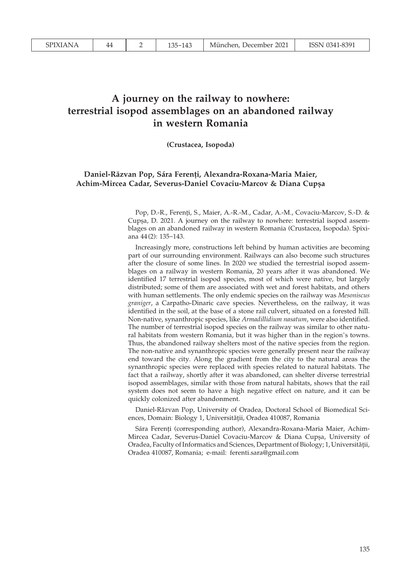# **A journey on the railway to nowhere: terrestrial isopod assemblages on an abandoned railway in western Romania**

**(Crustacea, Isopoda)**

## **Daniel-Răzvan Pop, Sára Ferenți, Alexandra-Roxana-Maria Maier, Achim-Mircea Cadar, Severus-Daniel Covaciu-Marcov & Diana Cupșa**

Pop, D.-R., Ferenți, S., Maier, A.-R.-M., Cadar, A.-M., Covaciu-Marcov, S.-D. & Cupșa, D. 2021. A journey on the railway to nowhere: terrestrial isopod assemblages on an abandoned railway in western Romania (Crustacea, Isopoda). Spixiana 44 (2): 135-143.

Increasingly more, constructions left behind by human activities are becoming part of our surrounding environment. Railways can also become such structures after the closure of some lines. In 2020 we studied the terrestrial isopod assemblages on a railway in western Romania, 20 years after it was abandoned. We identified 17 terrestrial isopod species, most of which were native, but largely distributed; some of them are associated with wet and forest habitats, and others with human settlements. The only endemic species on the railway was *Mesoniscus graniger*, a Carpatho-Dinaric cave species. Nevertheless, on the railway, it was identified in the soil, at the base of a stone rail culvert, situated on a forested hill. Non-native, synanthropic species, like *Armadillidium nasatum*, were also identified. The number of terrestrial isopod species on the railway was similar to other natural habitats from western Romania, but it was higher than in the region's towns. Thus, the abandoned railway shelters most of the native species from the region. The non-native and synanthropic species were generally present near the railway end toward the city. Along the gradient from the city to the natural areas the synanthropic species were replaced with species related to natural habitats. The fact that a railway, shortly after it was abandoned, can shelter diverse terrestrial isopod assemblages, similar with those from natural habitats, shows that the rail system does not seem to have a high negative effect on nature, and it can be quickly colonized after abandonment.

Daniel-Răzvan Pop, University of Oradea, Doctoral School of Biomedical Sciences, Domain: Biology 1, Universităţii, Oradea 410087, Romania

Sára Ferenți (corresponding author), Alexandra-Roxana-Maria Maier, Achim-Mircea Cadar, Severus-Daniel Covaciu-Marcov & Diana Cupșa, University of Oradea, Faculty of Informatics and Sciences, Department of Biology; 1, Universităţii, Oradea 410087, Romania; e-mail: ferenti.sara@gmail.com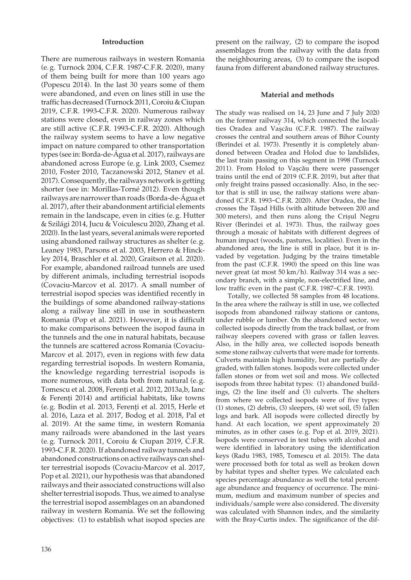#### **Introduction**

There are numerous railways in western Romania (e.g. Turnock 2004, C.F.R. 1987-C.F.R. 2020), many of them being built for more than 100 years ago (Popescu 2014). In the last 30 years some of them were abandoned, and even on lines still in use the traffic has decreased (Turnock 2011, Coroiu & Ciupan 2019, C.F.R. 1993-C.F.R. 2020). Numerous railway stations were closed, even in railway zones which are still active (C.F.R. 1993-C.F.R. 2020). Although the railway system seems to have a low negative impact on nature compared to other transportation types (see in: Borda-de-Água et al. 2017), railways are abandoned across Europe (e.g. Link 2003, Csemez 2010, Foster 2010, Taczanowski 2012, Stanev et al. 2017). Consequently, the railways network is getting shorter (see in: Morillas-Torné 2012). Even though railways are narrower than roads (Borda-de-Água et al. 2017), after their abandonment artificial elements remain in the landscape, even in cities (e.g. Hutter & Szilági 2014, Jucu & Voiculescu 2020, Zhang et al. 2020). In the last years, several animals were reported using abandoned railway structures as shelter (e.g. Leaney 1983, Parsons et al. 2003, Herrero & Hinckley 2014, Braschler et al. 2020, Graitson et al. 2020). For example, abandoned railroad tunnels are used by different animals, including terrestrial isopods (Covaciu-Marcov et al. 2017). A small number of terrestrial isopod species was identified recently in the buildings of some abandoned railway-stations along a railway line still in use in southeastern Romania (Pop et al. 2021). However, it is difficult to make comparisons between the isopod fauna in the tunnels and the one in natural habitats, because the tunnels are scattered across Romania (Covaciu-Marcov et al. 2017), even in regions with few data regarding terrestrial isopods. In western Romania, the knowledge regarding terrestrial isopods is more numerous, with data both from natural (e.g. Tomescu et al. 2008, Ferenți et al. 2012, 2013a,b, Ianc & Ferenți 2014) and artificial habitats, like towns (e.g. Bodin et al. 2013, Ferenți et al. 2015, Herle et al. 2016, Laza et al. 2017, Bodog et al. 2018, Pal et al. 2019). At the same time, in western Romania many railroads were abandoned in the last years (e.g. Turnock 2011, Coroiu & Ciupan 2019, C.F.R. 1993-C.F.R. 2020). If abandoned railway tunnels and abandoned constructions on active railways can shelter terrestrial isopods (Covaciu-Marcov et al. 2017, Pop et al. 2021), our hypothesis was that abandoned railways and their associated constructions will also shelter terrestrial isopods. Thus, we aimed to analyse the terrestrial isopod assemblages on an abandoned railway in western Romania. We set the following objectives: (1) to establish what isopod species are

136

present on the railway, (2) to compare the isopod assemblages from the railway with the data from the neighbouring areas, (3) to compare the isopod fauna from different abandoned railway structures.

#### **Material and methods**

The study was realised on 14, 23 June and 7 July 2020 on the former railway 314, which connected the localities Oradea and Vașcău (C.F.R. 1987). The railway crosses the central and southern areas of Bihor County (Berindei et al. 1973). Presently it is completely abandoned between Oradea and Holod due to landslides, the last train passing on this segment in 1998 (Turnock 2011). From Holod to Vașcău there were passenger trains until the end of 2019 (C.F.R. 2019), but after that only freight trains passed occasionally. Also, in the sector that is still in use, the railway stations were abandoned (C.F.R. 1993-C.F.R. 2020). After Oradea, the line crosses the Tășad Hills (with altitude between 200 and 300 meters), and then runs along the Crișul Negru River (Berindei et al. 1973). Thus, the railway goes through a mosaic of habitats with different degrees of human impact (woods, pastures, localities). Even in the abandoned area, the line is still in place, but it is invaded by vegetation. Judging by the trains timetable from the past (C.F.R. 1990) the speed on this line was never great (at most 50 km/h). Railway 314 was a secondary branch, with a simple, non-electrified line, and low traffic even in the past (C.F.R. 1987-C.F.R. 1993).

Totally, we collected 58 samples from 48 locations. In the area where the railway is still in use, we collected isopods from abandoned railway stations or cantons, under rubble or lumber. On the abandoned sector, we collected isopods directly from the track ballast, or from railway sleepers covered with grass or fallen leaves. Also, in the hilly area, we collected isopods beneath some stone railway culverts that were made for torrents. Culverts maintain high humidity, but are partially degraded, with fallen stones. Isopods were collected under fallen stones or from wet soil and moss. We collected isopods from three habitat types: (1) abandoned buildings, (2) the line itself and (3) culverts. The shelters from where we collected isopods were of five types: (1) stones, (2) debris, (3) sleepers, (4) wet soil, (5) fallen logs and bark. All isopods were collected directly by hand. At each location, we spent approximately 20 minutes, as in other cases (e.g. Pop et al. 2019, 2021). Isopods were conserved in test tubes with alcohol and were identified in laboratory using the identification keys (Radu 1983, 1985, Tomescu et al. 2015). The data were processed both for total as well as broken down by habitat types and shelter types. We calculated each species percentage abundance as well the total percentage abundance and frequency of occurrence. The minimum, medium and maximum number of species and individuals/sample were also considered. The diversity was calculated with Shannon index, and the similarity with the Bray-Curtis index. The significance of the dif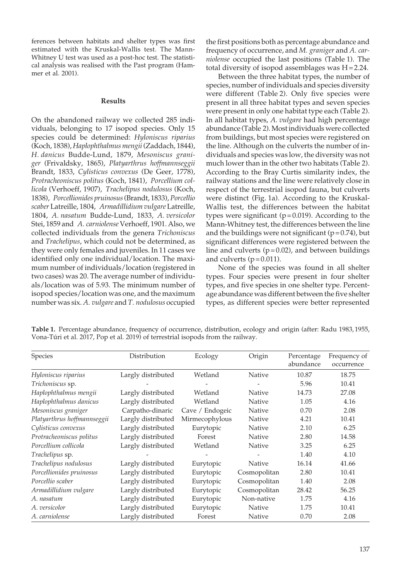ferences between habitats and shelter types was first estimated with the Kruskal-Wallis test. The Mann-Whitney U test was used as a post-hoc test. The statistical analysis was realised with the Past program (Hammer et al. 2001).

## **Results**

On the abandoned railway we collected 285 individuals, belonging to 17 isopod species. Only 15 species could be determined: *Hyloniscus riparius* (Koch, 1838), *Haplophthalmus mengii* (Zaddach, 1844), *H. danicus* Budde-Lund, 1879, *Mesoniscus graniger* (Frivaldsky, 1865), *Platyarthrus hoffmannseggii* Brandt, 1833, *Cylisticus convexus* (De Geer, 1778), *Protracheoniscus politus* (Koch, 1841), *Porcellium collicola* (Verhoeff, 1907), *Trachelipus nodulosus* (Koch, 1838), *Porcellionides pruinosus* (Brandt, 1833), *Porcellio scaber* Latreille, 1804, *Armadillidium vulgare* Latreille, 1804, *A. nasatum* Budde-Lund, 1833, *A. versicolor*  Stei, 1859 and *A. carniolense* Verhoeff, 1901. Also, we collected individuals from the genera *Trichoniscus* and *Trachelipus*, which could not be determined, as they were only females and juveniles. In 11 cases we identified only one individual/location. The maximum number of individuals/location (registered in two cases) was 20. The average number of individuals/location was of 5.93. The minimum number of isopod species/location was one, and the maximum number was six. *A. vulgare* and *T. nodulosus* occupied

the first positions both as percentage abundance and frequency of occurrence, and *M. graniger* and *A. carniolense* occupied the last positions (Table 1). The total diversity of isopod assemblages was H=2.24.

Between the three habitat types, the number of species, number of individuals and species diversity were different (Table 2). Only five species were present in all three habitat types and seven species were present in only one habitat type each (Table 2). In all habitat types, *A. vulgare* had high percentage abundance (Table 2). Most individuals were collected from buildings, but most species were registered on the line. Although on the culverts the number of individuals and species was low, the diversity was not much lower than in the other two habitats (Table 2). According to the Bray Curtis similarity index, the railway stations and the line were relatively close in respect of the terrestrial isopod fauna, but culverts were distinct (Fig. 1a). According to the Kruskal-Wallis test, the differences between the habitat types were significant ( $p=0.019$ ). According to the Mann-Whitney test, the differences between the line and the buildings were not significant  $(p=0.74)$ , but significant differences were registered between the line and culverts  $(p=0.02)$ , and between buildings and culverts  $(p=0.011)$ .

None of the species was found in all shelter types. Four species were present in four shelter types, and five species in one shelter type. Percentage abundance was different between the five shelter types, as different species were better represented

| Species                     | Distribution       | Ecology         | Origin       | Percentage<br>abundance | Frequency of<br>occurrence |  |
|-----------------------------|--------------------|-----------------|--------------|-------------------------|----------------------------|--|
| Hyloniscus riparius         | Largly distributed | Wetland         | Native       | 10.87                   | 18.75                      |  |
| Trichoniscus sp.            |                    |                 |              | 5.96                    | 10.41                      |  |
| Haplophthalmus mengii       | Largly distributed | Wetland         | Native       | 14.73                   | 27.08                      |  |
| Haplophthalmus danicus      | Largly distributed | Wetland         | Native       | 1.05                    | 4.16                       |  |
| Mesoniscus graniger         | Carpatho-dinaric   | Cave / Endogeic | Native       | 0.70                    | 2.08                       |  |
| Platyarthrus hoffmannseggii | Largly distributed | Mirmecophylous  | Native       | 4.21                    | 10.41                      |  |
| Cylisticus convexus         | Largly distributed | Eurytopic       | Native       | 2.10                    | 6.25                       |  |
| Protracheoniscus politus    | Largly distributed | Forest          | Native       | 2.80                    | 14.58                      |  |
| Porcellium collicola        | Largly distributed | Wetland         | Native       | 3.25                    | 6.25                       |  |
| Trachelipus sp.             |                    |                 |              | 1.40                    | 4.10                       |  |
| Trachelipus nodulosus       | Largly distributed | Eurytopic       | Native       | 16.14                   | 41.66                      |  |
| Porcellionides pruinosus    | Largly distributed | Eurytopic       | Cosmopolitan | 2.80                    | 10.41                      |  |
| Porcellio scaber            | Largly distributed | Eurytopic       | Cosmopolitan | 1.40                    | 2.08                       |  |
| Armadillidium vulgare       | Largly distributed | Eurytopic       | Cosmopolitan | 28.42                   | 56.25                      |  |
| A. nasatum                  | Largly distributed | Eurytopic       | Non-native   | 1.75                    | 4.16                       |  |
| A. versicolor               | Largly distributed | Eurytopic       | Native       | 1.75                    | 10.41                      |  |
| A. carniolense              | Largly distributed | Forest          | Native       | 0.70                    | 2.08                       |  |

**Table 1.** Percentage abundance, frequency of occurrence, distribution, ecology and origin (after: Radu 1983,1955, Vona-Túri et al. 2017, Pop et al. 2019) of terrestrial isopods from the railway.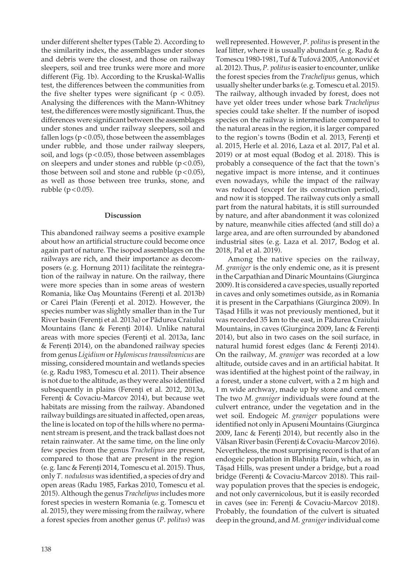under different shelter types (Table 2). According to the similarity index, the assemblages under stones and debris were the closest, and those on railway sleepers, soil and tree trunks were more and more different (Fig. 1b). According to the Kruskal-Wallis test, the differences between the communities from the five shelter types were significant ( $p < 0.05$ ). Analysing the differences with the Mann-Whitney test, the differences were mostly significant. Thus, the differences were significant between the assemblages under stones and under railway sleepers, soil and fallen  $\log s$  ( $p$  < 0.05), those between the assemblages under rubble, and those under railway sleepers, soil, and  $\log s$  ( $p$  < 0.05), those between assemblages on sleepers and under stones and rubble  $(p<0.05)$ , those between soil and stone and rubble  $(p<0.05)$ , as well as those between tree trunks, stone, and rubble  $(p<0.05)$ .

### **Discussion**

This abandoned railway seems a positive example about how an artificial structure could become once again part of nature. The isopod assemblages on the railways are rich, and their importance as decomposers (e.g. Hornung 2011) facilitate the reintegration of the railway in nature. On the railway, there were more species than in some areas of western Romania, like Oaș Mountains (Ferenți et al. 2013b) or Carei Plain (Ferenți et al. 2012). However, the species number was slightly smaller than in the Tur River basin (Ferenți et al. 2013a) or Pădurea Craiului Mountains (Ianc & Ferenți 2014). Unlike natural areas with more species (Ferenți et al. 2013a, Ianc & Ferenți 2014), on the abandoned railway species from genus *Ligidium* or *Hyloniscus transsilvanicus* are missing, considered mountain and wetlands species (e.g. Radu 1983, Tomescu et al. 2011). Their absence is not due to the altitude, as they were also identified subsequently in plains (Ferenți et al. 2012, 2013a, Ferenți & Covaciu-Marcov 2014), but because wet habitats are missing from the railway. Abandoned railway buildings are situated in affected, open areas, the line is located on top of the hills where no permanent stream is present, and the track ballast does not retain rainwater. At the same time, on the line only few species from the genus *Trachelipus* are present, compared to those that are present in the region (e.g. Ianc & Ferenți 2014, Tomescu et al. 2015). Thus, only *T. nodulosus* was identified, a species of dry and open areas (Radu 1985, Farkas 2010, Tomescu et al. 2015). Although the genus *Trachelipus* includes more forest species in western Romania (e.g. Tomescu et al. 2015), they were missing from the railway, where a forest species from another genus (*P. politus*) was

138

well represented. However, *P. politus* is present in the leaf litter, where it is usually abundant (e.g. Radu & Tomescu 1980-1981, Tuf & Tufová 2005, Antonović et al. 2012). Thus, *P. politus* is easier to encounter, unlike the forest species from the *Trachelipus* genus, which usually shelter under barks (e.g. Tomescu et al. 2015). The railway, although invaded by forest, does not have yet older trees under whose bark *Trachelipus*  species could take shelter. If the number of isopod species on the railway is intermediate compared to the natural areas in the region, it is larger compared to the region's towns (Bodin et al. 2013, Ferenți et al. 2015, Herle et al. 2016, Laza et al. 2017, Pal et al. 2019) or at most equal (Bodog et al. 2018). This is probably a consequence of the fact that the town's negative impact is more intense, and it continues even nowadays, while the impact of the railway was reduced (except for its construction period), and now it is stopped. The railway cuts only a small part from the natural habitats, it is still surrounded by nature, and after abandonment it was colonized by nature, meanwhile cities affected (and still do) a large area, and are often surrounded by abandoned industrial sites (e.g. Laza et al. 2017, Bodog et al. 2018, Pal et al. 2019).

Among the native species on the railway, *M. graniger* is the only endemic one, as it is present in the Carpathian and Dinaric Mountains (Giurginca 2009). It is considered a cave species, usually reported in caves and only sometimes outside, as in Romania it is present in the Carpathians (Giurginca 2009). In Tășad Hills it was not previously mentioned, but it was recorded 35 km to the east, in Pădurea Craiului Mountains, in caves (Giurginca 2009, Ianc & Ferenți 2014), but also in two cases on the soil surface, in natural humid forest edges (Ianc & Ferenți 2014). On the railway, *M. graniger* was recorded at a low altitude, outside caves and in an artificial habitat. It was identified at the highest point of the railway, in a forest, under a stone culvert, with a 2 m high and 1 m wide archway, made up by stone and cement. The two *M. graniger* individuals were found at the culvert entrance, under the vegetation and in the wet soil. Endogeic *M. graniger* populations were identified not only in Apuseni Mountains (Giurginca 2009, Ianc & Ferenți 2014), but recently also in the Vâlsan River basin (Ferenți & Covaciu-Marcov 2016). Nevertheless, the most surprising record is that of an endogeic population in Blahnița Plain, which, as in Tășad Hills, was present under a bridge, but a road bridge (Ferenți & Covaciu-Marcov 2018). This railway population proves that the species is endogeic, and not only cavernicolous, but it is easily recorded in caves (see in: Ferenți & Covaciu-Marcov 2018). Probably, the foundation of the culvert is situated deep in the ground, and *M. graniger* individual come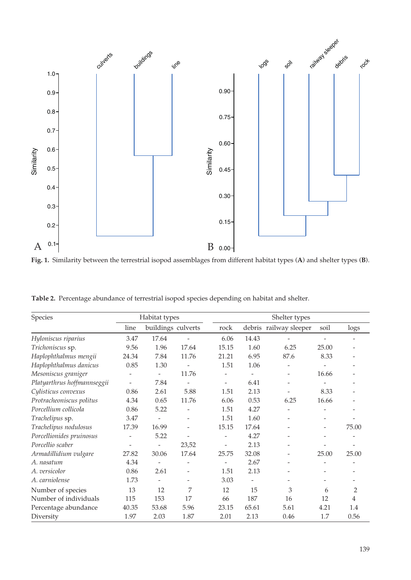

**Fig. 1.** Similarity between the terrestrial isopod assemblages from different habitat types (**A**) and shelter types (**B**).

| Species                     | Habitat types            |                    |                   | Shelter types            |       |                          |                          |                |
|-----------------------------|--------------------------|--------------------|-------------------|--------------------------|-------|--------------------------|--------------------------|----------------|
|                             | line                     | buildings culverts |                   | rock                     |       | debris railway sleeper   |                          | logs           |
| Hyloniscus riparius         | 3.47                     | 17.64              |                   | 6.06                     | 14.43 |                          |                          |                |
| Trichoniscus sp.            | 9.56                     | 1.96               | 17.64             | 15.15                    | 1.60  | 6.25                     | 25.00                    |                |
| Haplophthalmus mengii       | 24.34                    | 7.84               | 11.76             | 21.21                    | 6.95  | 87.6                     | 8.33                     |                |
| Haplophthalmus danicus      | 0.85                     | 1.30               |                   | 1.51                     | 1.06  |                          |                          |                |
| Mesoniscus graniger         |                          | -                  | 11.76             |                          |       |                          | 16.66                    |                |
| Platyarthrus hoffmannseggii | $\overline{\phantom{a}}$ | 7.84               |                   | $\overline{\phantom{a}}$ | 6.41  | $\overline{\phantom{a}}$ |                          |                |
| Cylisticus convexus         | 0.86                     | 2.61               | 5.88              | 1.51                     | 2.13  |                          | 8.33                     |                |
| Protracheoniscus politus    | 4.34                     | 0.65               | 11.76             | 6.06                     | 0.53  | 6.25                     | 16.66                    |                |
| Porcellium collicola        | 0.86                     | 5.22               |                   | 1.51                     | 4.27  |                          |                          |                |
| Trachelipus sp.             | 3.47                     |                    |                   | 1.51                     | 1.60  |                          |                          |                |
| Trachelipus nodulosus       | 17.39                    | 16.99              |                   | 15.15                    | 17.64 |                          | $\overline{\phantom{0}}$ | 75.00          |
| Porcellionides pruinosus    |                          | 5.22               |                   |                          | 4.27  |                          |                          |                |
| Porcellio scaber            | -                        | -                  | 23,52             | $\qquad \qquad -$        | 2.13  |                          |                          |                |
| Armadillidium vulgare       | 27.82                    | 30.06              | 17.64             | 25.75                    | 32.08 | -                        | 25.00                    | 25.00          |
| A. nasatum                  | 4.34                     |                    |                   |                          | 2.67  |                          |                          |                |
| A. versicolor               | 0.86                     | 2.61               |                   | 1.51                     | 2.13  |                          |                          |                |
| A. carniolense              | 1.73                     | $\qquad \qquad -$  | $\qquad \qquad -$ | 3.03                     |       |                          |                          |                |
| Number of species           | 13                       | 12                 | 7                 | 12                       | 15    | 3                        | 6                        | $\overline{2}$ |
| Number of individuals       | 115                      | 153                | 17                | 66                       | 187   | 16                       | 12                       | $\overline{4}$ |
| Percentage abundance        | 40.35                    | 53.68              | 5.96              | 23.15                    | 65.61 | 5.61                     | 4.21                     | 1.4            |
| Diversity                   | 1.97                     | 2.03               | 1.87              | 2.01                     | 2.13  | 0.46                     | 1.7                      | 0.56           |

**Table 2.** Percentage abundance of terrestrial isopod species depending on habitat and shelter.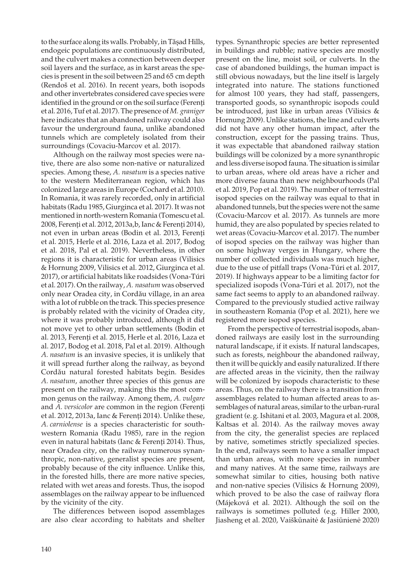to the surface along its walls. Probably, in Tășad Hills, endogeic populations are continuously distributed, and the culvert makes a connection between deeper soil layers and the surface, as in karst areas the species is present in the soil between 25 and 65 cm depth (Rendoš et al. 2016). In recent years, both isopods and other invertebrates considered cave species were identified in the ground or on the soil surface (Ferenți et al. 2016, Tuf et al. 2017). The presence of *M. graniger* here indicates that an abandoned railway could also favour the underground fauna, unlike abandoned tunnels which are completely isolated from their surroundings (Covaciu-Marcov et al. 2017).

Although on the railway most species were native, there are also some non-native or naturalized species. Among these, *A. nasatum* is a species native to the western Mediterranean region, which has colonized large areas in Europe (Cochard et al. 2010). In Romania, it was rarely recorded, only in artificial habitats (Radu 1985, Giurginca et al. 2017). It was not mentioned in north-western Romania (Tomescu et al. 2008, Ferenți et al. 2012, 2013a,b, Ianc & Ferenți 2014), not even in urban areas (Bodin et al. 2013, Ferenți et al. 2015, Herle et al. 2016, Laza et al. 2017, Bodog et al. 2018, Pal et al. 2019). Nevertheless, in other regions it is characteristic for urban areas (Vilisics & Hornung 2009, Vilisics et al. 2012, Giurginca et al. 2017), or artificial habitats like roadsides (Vona-Túri et al. 2017). On the railway, *A. nasatum* was observed only near Oradea city, in Cordău village, in an area with a lot of rubble on the track. This species presence is probably related with the vicinity of Oradea city, where it was probably introduced, although it did not move yet to other urban settlements (Bodin et al. 2013, Ferenți et al. 2015, Herle et al. 2016, Laza et al. 2017, Bodog et al. 2018, Pal et al. 2019). Although *A. nasatum* is an invasive species, it is unlikely that it will spread further along the railway, as beyond Cordău natural forested habitats begin. Besides *A. nasatum*, another three species of this genus are present on the railway, making this the most common genus on the railway. Among them, *A. vulgare* and *A. versicolor* are common in the region (Ferenți et al. 2012, 2013a, Ianc & Ferenți 2014). Unlike these, *A. carniolense* is a species characteristic for southwestern Romania (Radu 1985), rare in the region even in natural habitats (Ianc & Ferenți 2014). Thus, near Oradea city, on the railway numerous synanthropic, non-native, generalist species are present, probably because of the city influence. Unlike this, in the forested hills, there are more native species, related with wet areas and forests. Thus, the isopod assemblages on the railway appear to be influenced by the vicinity of the city.

The differences between isopod assemblages are also clear according to habitats and shelter

types. Synanthropic species are better represented in buildings and rubble; native species are mostly present on the line, moist soil, or culverts. In the case of abandoned buildings, the human impact is still obvious nowadays, but the line itself is largely integrated into nature. The stations functioned for almost 100 years, they had staff, passengers, transported goods, so synanthropic isopods could be introduced, just like in urban areas (Vilisics & Hornung 2009). Unlike stations, the line and culverts did not have any other human impact, after the construction, except for the passing trains. Thus, it was expectable that abandoned railway station buildings will be colonized by a more synanthropic and less diverse isopod fauna. The situation is similar to urban areas, where old areas have a richer and more diverse fauna than new neighbourhoods (Pal et al. 2019, Pop et al. 2019). The number of terrestrial isopod species on the railway was equal to that in abandoned tunnels, but the species were not the same (Covaciu-Marcov et al. 2017). As tunnels are more humid, they are also populated by species related to wet areas (Covaciu-Marcov et al. 2017). The number of isopod species on the railway was higher than on some highway verges in Hungary, where the number of collected individuals was much higher, due to the use of pitfall traps (Vona-Túri et al. 2017, 2019). If highways appear to be a limiting factor for specialized isopods (Vona-Túri et al. 2017), not the same fact seems to apply to an abandoned railway. Compared to the previously studied active railway in southeastern Romania (Pop et al. 2021), here we registered more isopod species.

From the perspective of terrestrial isopods, abandoned railways are easily lost in the surrounding natural landscape, if it exists. If natural landscapes, such as forests, neighbour the abandoned railway, then it will be quickly and easily naturalized. If there are affected areas in the vicinity, then the railway will be colonized by isopods characteristic to these areas. Thus, on the railway there is a transition from assemblages related to human affected areas to assemblages of natural areas, similar to the urban-rural gradient (e.g. Ishitani et al. 2003, Magura et al. 2008, Kaltsas et al. 2014). As the railway moves away from the city, the generalist species are replaced by native, sometimes strictly specialized species. In the end, railways seem to have a smaller impact than urban areas, with more species in number and many natives. At the same time, railways are somewhat similar to cities, housing both native and non-native species (Vilisics & Hornung 2009), which proved to be also the case of railway flora (Májeková et al. 2021). Although the soil on the railways is sometimes polluted (e.g. Hiller 2000, Jiasheng et al. 2020, Vaiškūnaitė & Jasiūnienė 2020)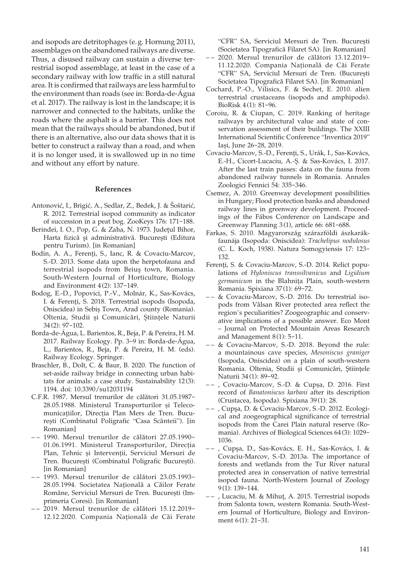and isopods are detritophages (e.g. Hornung 2011), assemblages on the abandoned railways are diverse. Thus, a disused railway can sustain a diverse terrestrial isopod assemblage, at least in the case of a secondary railway with low traffic in a still natural area. It is confirmed that railways are less harmful to the environment than roads (see in: Borda-de-Água et al. 2017). The railway is lost in the landscape; it is narrower and connected to the habitats, unlike the roads where the asphalt is a barrier. This does not mean that the railways should be abandoned, but if there is an alternative, also our data shows that it is better to construct a railway than a road, and when it is no longer used, it is swallowed up in no time and without any effort by nature.

#### **References**

- Antonović, I., Brigić, A., Sedlar, Z., Bedek, J. & Šoštarić, R. 2012. Terrestrial isopod community as indicator of succession in a peat bog. ZooKeys 176: 171-188.
- Berindei, I. O., Pop, G. & Zaha, N. 1973. Judeţul Bihor, Harta fizică și administrativă. București (Editura pentru Turism). [in Romanian]
- Bodin, A. A., Ferenti, S., Ianc, R. & Covaciu-Marcov, S.-D. 2013. Some data upon the herpetofauna and terrestrial isopods from Beiuş town, Romania. South-Western Journal of Horticulture, Biology and Environment 4(2): 137-149.
- Bodog, E.-D., Popovici, P.-V., Molnár, K., Sas-Kovács, I. & Ferenți, S. 2018. Terrestrial isopods (Isopoda, Oniscidea) in Sebiș Town, Arad county (Romania). Oltenia, Studii și Comunicări, Științele Naturii 34 (2): 97-102.
- Borda-de-Água, L. Barientos, R., Beja, P. & Pereira, H. M. 2017. Railway Ecology. Pp. 3-9 in: Borda-de-Água, L., Barientos, R., Beja, P. & Pereira, H. M. (eds). Railway Ecology. Springer.
- Braschler, B., Dolt, C. & Baur, B. 2020. The function of set-aside railway bridge in connecting urban habitats for animals: a case study. Sustainability 12(3): 1194. doi: 10.3390/su12031194
- C.F.R. 1987. Mersul trenurilor de călători 31.05.1987- 28.05.1988. Ministerul Transporturilor și Telecomunicațiilor, Direcția Plan Mers de Tren. București (Combinatul Poligrafic "Casa Scânteii"). [in Romanian]
- – 1990. Mersul trenurilor de călători 27.05.1990- 01.06.1991. Ministerul Transporturilor, Direcția Plan, Tehnic și Intervenții, Serviciul Mersuri de Tren. București (Combinatul Poligrafic București). [in Romanian]
- – 1993. Mersul trenurilor de călători 23.05.1993- 28.05.1994. Societatea Națională a Căilor Ferate Române, Serviciul Mersuri de Tren. București (Imprimeria Coresi). [in Romanian]
- – 2019. Mersul trenurilor de călători 15.12.2019- 12.12.2020. Compania Națională de Căi Ferate

"CFR" SA, Serviciul Mersuri de Tren. București (Societatea Tipografică Filaret SA). [in Romanian]

- – 2020. Mersul trenurilor de călători 13.12.2019- 11.12.2020. Compania Națională de Căi Ferate "CFR" SA, Serviciul Mersuri de Tren. (București Societatea Tipografică Filaret SA). [in Romanian]
- Cochard, P.-O., Vilisics, F. & Sechet, E. 2010. alien terrestrial crustaceans (isopods and amphipods). BioRisk 4(1): 81-96.
- Coroiu, R. & Ciupan, C. 2019. Ranking of heritage railways by architectural value and state of conservation assessment of their buildings. The XXIII International Scientific Conference "Inventica 2019" Iași, June 26-28, 2019.
- Covaciu-Marcov, S.-D., Ferenți, S., Urák, I., Sas-Kovács, E.-H., Cicort-Lucaciu, A.-Ș. & Sas-Kovács, I. 2017. After the last train passes: data on the fauna from abandoned railway tunnels in Romania. Annales Zoologici Fennici 54: 335-346.
- Csemez, A. 2010. Greenway development possibilities in Hungary; Flood protection banks and abandoned railway lines in greenway development. Proceedings of the Fábos Conference on Landscape and Greenway Planning 3(1), article 66: 681-688.
- Farkas, S. 2010. Magyarország szárazföldi ászkarákfaunája (Isopoda: Oniscidea): *Trachelipus nodulosus* (C. L. Koch, 1938). Natura Somogyiensis 17: 123- 132.
- Ferenti, S. & Covaciu-Marcov, S.-D. 2014. Relict populations of *Hyloniscus transsilvanicus* and *Ligidium germanicum* in the Blahnița Plain, south-western Romania. Spixiana 37(1): 69-72.
- – & Covaciu-Marcov, S.-D. 2016. Do terrestrial isopods from Vâlsan River protected area reflect the region's peculiarities? Zoogeographic and conservative implications of a possible answer. Eco Mont – Journal on Protected Mountain Areas Research and Management 8(1): 5-11.
- – & Covaciu-Marcov, S.-D. 2018. Beyond the rule: a mountainous cave species, *Mesoniscus graniger* (Isopoda, Oniscidea) on a plain of south-western Romania. Oltenia, Studii și Comunicări, Științele Naturii 34(1): 89-92.
- – , Covaciu-Marcov, S.-D. & Cupșa, D. 2016. First record of *Banatoniscus karbani* after its description (Crustacea, Isopoda). Spixiana 39(1): 28.
- – , Cupşa, D. & Covaciu-Marcov, S.-D. 2012. Ecological and zoogeographical significance of terrestrial isopods from the Carei Plain natural reserve (Romania). Archives of Biological Sciences 64(3): 1029- 1036.
- – , Cupşa, D., Sas-Kovács, E. H., Sas-Kovács, I. & Covaciu-Marcov, S.-D. 2013a. The importance of forests and wetlands from the Tur River natural protected area in conservation of native terrestrial isopod fauna. North-Western Journal of Zoology 9(1): 139-144.
- – , Lucaciu, M. & Mihuț, A. 2015. Terrestrial isopods from Salonta town, western Romania. South-Western Journal of Horticulture, Biology and Environment 6(1): 21-31.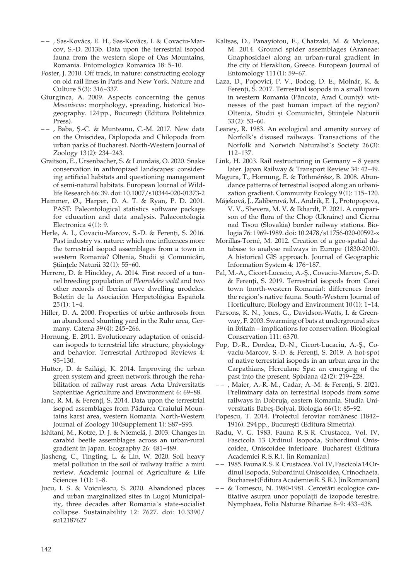- – , Sas-Kovács, E. H., Sas-Kovács, I. & Covaciu-Marcov, S.-D. 2013b. Data upon the terrestrial isopod fauna from the western slope of Oas Mountains, Romania. Entomologica Romanica 18: 5-10.
- Foster, J. 2010. Off track, in nature: constructing ecology on old rail lines in Paris and New York. Nature and Culture 5(3): 316-337.
- Giurginca, A. 2009. Aspects concerning the genus *Mesoniscus*: morphology, spreading, historical biogeography. 124pp., București (Editura Politehnica Press).
- – , Baba, Ș.-C. & Munteanu, C.-M. 2017. New data on the Oniscidea, Diplopoda and Chilopoda from urban parks of Bucharest. North-Western Journal of Zoology 13(2): 234-243.
- Graitson, E., Ursenbacher, S. & Lourdais, O. 2020. Snake conservation in anthropized landscapes: considering artificial habitats and questioning management of semi-natural habitats. European Journal of Wildlife Research 66: 39. doi: 10.1007/s10344-020-01373-2
- Hammer, Ø., Harper, D. A. T. & Ryan, P. D. 2001. PAST: Paleontological statistics software package for education and data analysis. Palaeontologia Electronica 4(1): 9.
- Herle, A. I., Covaciu-Marcov, S.-D. & Ferenți, S. 2016. Past industry vs. nature: which one influences more the terrestrial isopod assemblages from a town in western Romania? Oltenia, Studii și Comunicări, Stiintele Naturii 32(1): 55-60.
- Herrero, D. & Hinckley, A. 2014. First record of a tunnel breeding population of *Pleurodeles waltl* and two other records of Iberian cave dwelling urodeles. Boletín de la Asociación Herpetológica Española  $25(1): 1-4.$
- Hiller, D. A. 2000. Properties of urbic anthrosols from an abandoned shunting yard in the Ruhr area, Germany. Catena 39(4): 245-266.
- Hornung, E. 2011. Evolutionary adaptation of oniscidean isopods to terrestrial life: structure, physiology and behavior. Terrestrial Arthropod Reviews 4: 95-130.
- Hutter, D. & Szilági, K. 2014. Improving the urban green system and green network through the rehabilitation of railway rust areas. Acta Universitatis Sapientiae Agriculture and Environment 6: 69-88.
- Ianc, R. M. & Ferenți, S. 2014. Data upon the terrestrial isopod assemblages from Pădurea Craiului Mountains karst area, western Romania. North-Western Journal of Zoology 10 (Supplement 1): S87-S93.
- Ishitani, M., Kotze, D. J. & Niemelä, J. 2003. Changes in carabid beetle assemblages across an urban-rural gradient in Japan. Ecography 26: 481-489.
- Jiasheng, C., Tingting, L. & Lin, W. 2020. Soil heavy metal pollution in the soil of railway traffic: a mini review. Academic Journal of Agriculture & Life Sciences 1(1): 1-8.
- Jucu, I. S. & Voiculescu, S. 2020. Abandoned places and urban marginalized sites in Lugoj Municipality, three decades after Romania's state-socialist collapse. Sustainability 12: 7627. doi: 10.3390/ su12187627
- Kaltsas, D., Panayiotou, E., Chatzaki, M. & Mylonas, M. 2014. Ground spider assemblages (Araneae: Gnaphosidae) along an urban-rural gradient in the city of Heraklion, Greece. European Journal of Entomology 111(1): 59-67.
- Laza, D., Popovici, P. V., Bodog, D. E., Molnár, K. & Ferenți, S. 2017. Terrestrial isopods in a small town in western Romania (Pâncota, Arad County): witnesses of the past human impact of the region? Oltenia, Studii și Comunicări, Științele Naturii 33(2): 53-60.
- Leaney, R. 1983. An ecological and amenity survey of Norfolk's disused railways. Transactions of the Norfolk and Norwich Naturalist's Society 26 (3): 112-137.
- Link, H. 2003. Rail restructuring in Germany 8 years later. Japan Railway & Transport Review 34: 42-49.
- Magura, T., Hornung, E. & Tóthmérész, B. 2008. Abundance patterns of terrestrial isopod along an urbanization gradient. Community Ecology 9(1): 115-120.
- Májeková, J., Zaliberová, M., Andrik, E. J., Protopopova, V. V., Shevera, M. V. & Ikhardt, P. 2021. A comparison of the flora of the Chop (Ukraine) and Čierna nad Tisou (Slovakia) border railway stations. Biologia 76: 1969-1989. doi: 10.2478/s11756-020-00592-x
- Morillas-Torné, M. 2012. Creation of a geo-spatial database to analyse railways in Europe (1830-2010). A historical GIS approach. Journal of Geographic Information System 4: 176-187.
- Pal, M.-A., Cicort-Lucaciu, A.-Ș., Covaciu-Marcov, S.-D. & Ferenți, S. 2019. Terrestrial isopods from Carei town (north-western Romania): differences from the region's native fauna. South-Western Journal of Horticulture, Biology and Environment 10 (1): 1-14.
- Parsons, K. N., Jones, G., Davidson-Watts, I. & Greenway, F. 2003. Swarming of bats at underground sites in Britain – implications for conservation. Biological Conservation 111: 6370.
- Pop, D.-R., Dordea, D.-N., Cicort-Lucaciu, A.-Ș., Covaciu-Marcov, S.-D. & Ferenți, S. 2019. A hot-spot of native terrestrial isopods in an urban area in the Carpathians, Herculane Spa: an emerging of the past into the present. Spixiana 42(2): 219-228.
- – , Maier, A.-R.-M., Cadar, A.-M. & Ferenți, S. 2021. Preliminary data on terrestrial isopods from some railways in Dobruja, eastern Romania. Studia Universitatis Babeș-Bolyai, Biologia 66(1): 85-92.
- Popescu, T. 2014. Proiectul feroviar românesc (1842- 1916). 294pp., București (Editura Simetria).
- Radu, V. G. 1983. Fauna R. S.R. Crustacea. Vol. IV, Fascicola 13 Ordinul Isopoda, Subordinul Oniscoidea, Oniscoidee inferioare. Bucharest (Editura Academiei R.S.R.). [in Romanian]
- – 1985. Fauna R.S.R. Crustacea. Vol. IV, Fascicola 14 Ordinul Isopoda, Subordinul Oniscoidea, Crinochaeta. Bucharest (Editura Academiei R. S.R.). [in Romanian]
- – & Tomescu, N. 1980-1981. Cercetări ecologice cantitative asupra unor populații de izopode terestre. Nymphaea, Folia Naturae Bihariae 8-9: 433-438.